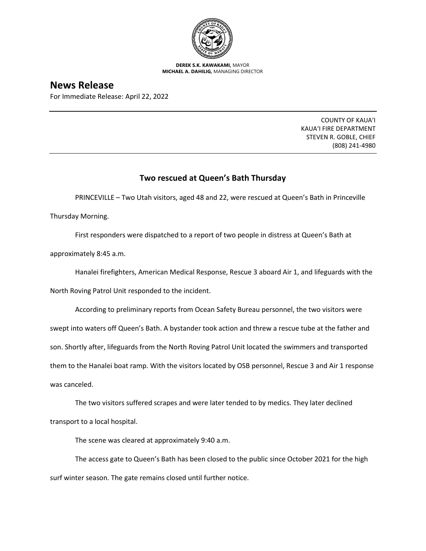

**DEREK S.K. KAWAKAMI,** MAYOR **MICHAEL A. DAHILIG,** MANAGING DIRECTOR

## **News Release**

For Immediate Release: April 22, 2022

COUNTY OF KAUA'I KAUA'I FIRE DEPARTMENT STEVEN R. GOBLE, CHIEF (808) 241-4980

## **Two rescued at Queen's Bath Thursday**

PRINCEVILLE – Two Utah visitors, aged 48 and 22, were rescued at Queen's Bath in Princeville

Thursday Morning.

First responders were dispatched to a report of two people in distress at Queen's Bath at

approximately 8:45 a.m.

Hanalei firefighters, American Medical Response, Rescue 3 aboard Air 1, and lifeguards with the

North Roving Patrol Unit responded to the incident.

According to preliminary reports from Ocean Safety Bureau personnel, the two visitors were

swept into waters off Queen's Bath. A bystander took action and threw a rescue tube at the father and

son. Shortly after, lifeguards from the North Roving Patrol Unit located the swimmers and transported

them to the Hanalei boat ramp. With the visitors located by OSB personnel, Rescue 3 and Air 1 response was canceled.

The two visitors suffered scrapes and were later tended to by medics. They later declined transport to a local hospital.

The scene was cleared at approximately 9:40 a.m.

The access gate to Queen's Bath has been closed to the public since October 2021 for the high surf winter season. The gate remains closed until further notice.